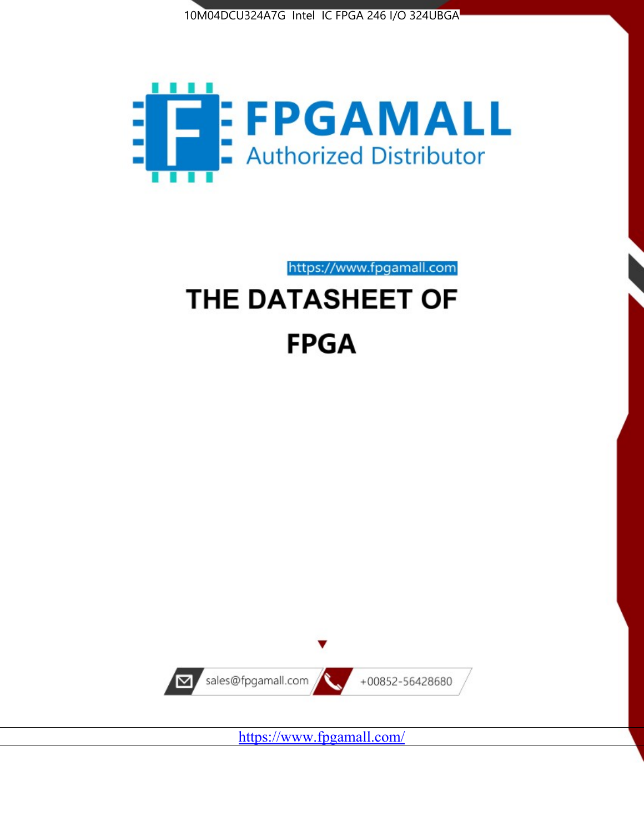



https://www.fpgamall.com THE DATASHEET OF

# **FPGA**



<https://www.fpgamall.com/>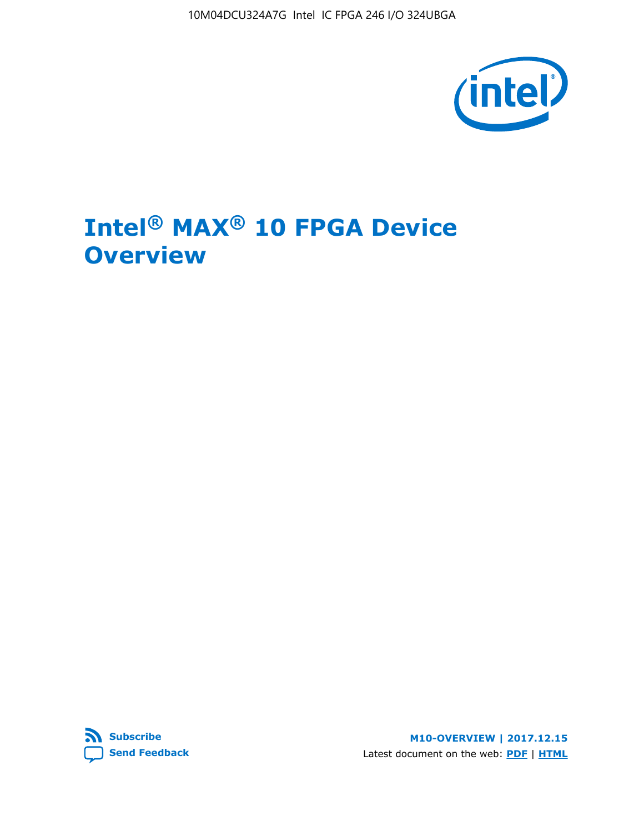10M04DCU324A7G Intel IC FPGA 246 I/O 324UBGA



# **Intel® MAX® 10 FPGA Device Overview**



**M10-OVERVIEW | 2017.12.15** Latest document on the web: **[PDF](https://www.altera.com/en_US/pdfs/literature/hb/max-10/m10_overview.pdf)** | **[HTML](https://www.altera.com/documentation/myt1396938463674.html)**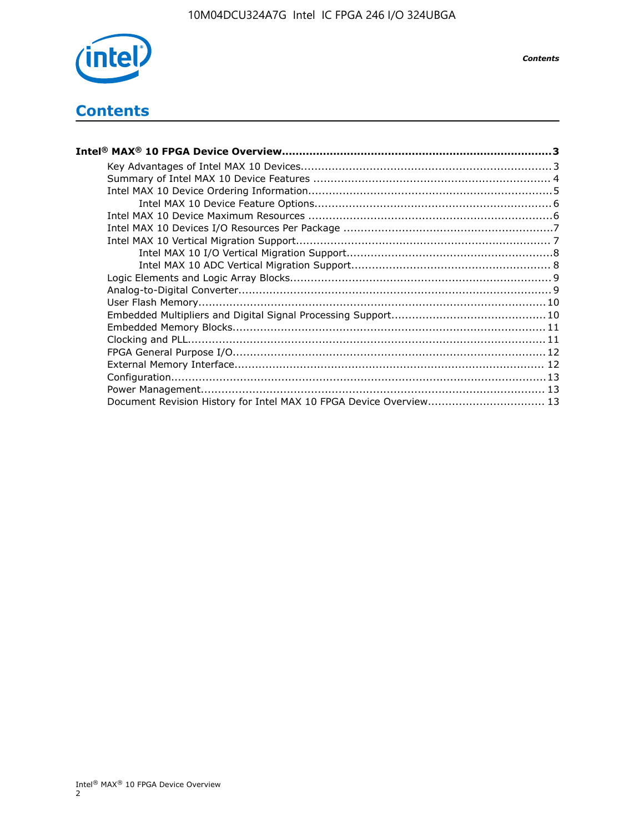

*Contents*

# **Contents**

| Intel® MAX® 10 FPGA Device Overview………………………………………………………………………………………3 |  |
|-----------------------------------------------------------------------|--|
|                                                                       |  |
|                                                                       |  |
|                                                                       |  |
|                                                                       |  |
|                                                                       |  |
|                                                                       |  |
|                                                                       |  |
|                                                                       |  |
|                                                                       |  |
|                                                                       |  |
|                                                                       |  |
|                                                                       |  |
|                                                                       |  |
|                                                                       |  |
|                                                                       |  |
|                                                                       |  |
|                                                                       |  |
|                                                                       |  |
|                                                                       |  |
| Document Revision History for Intel MAX 10 FPGA Device Overview 13    |  |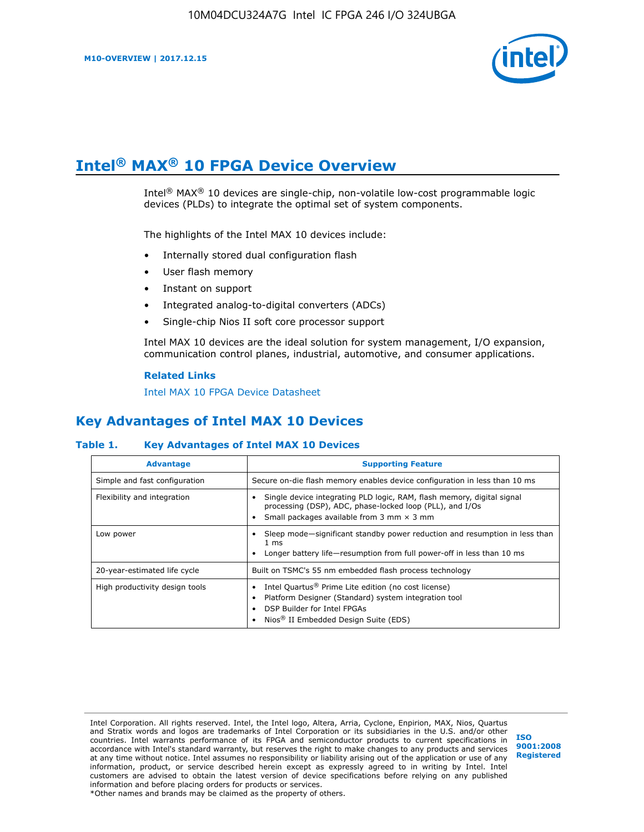

# **Intel® MAX® 10 FPGA Device Overview**

Intel® MAX® 10 devices are single-chip, non-volatile low-cost programmable logic devices (PLDs) to integrate the optimal set of system components.

The highlights of the Intel MAX 10 devices include:

- Internally stored dual configuration flash
- User flash memory
- Instant on support
- Integrated analog-to-digital converters (ADCs)
- Single-chip Nios II soft core processor support

Intel MAX 10 devices are the ideal solution for system management, I/O expansion, communication control planes, industrial, automotive, and consumer applications.

#### **Related Links**

[Intel MAX 10 FPGA Device Datasheet](https://www.altera.com/documentation/mcn1397700832153.html#mcn1397643748870)

## **Key Advantages of Intel MAX 10 Devices**

#### **Table 1. Key Advantages of Intel MAX 10 Devices**

| <b>Advantage</b>               | <b>Supporting Feature</b>                                                                                                                                                                                  |
|--------------------------------|------------------------------------------------------------------------------------------------------------------------------------------------------------------------------------------------------------|
| Simple and fast configuration  | Secure on-die flash memory enables device configuration in less than 10 ms                                                                                                                                 |
| Flexibility and integration    | Single device integrating PLD logic, RAM, flash memory, digital signal<br>processing (DSP), ADC, phase-locked loop (PLL), and I/Os<br>Small packages available from 3 mm $\times$ 3 mm                     |
| Low power                      | Sleep mode—significant standby power reduction and resumption in less than<br>$1 \text{ ms}$<br>Longer battery life-resumption from full power-off in less than 10 ms                                      |
| 20-year-estimated life cycle   | Built on TSMC's 55 nm embedded flash process technology                                                                                                                                                    |
| High productivity design tools | Intel Quartus <sup>®</sup> Prime Lite edition (no cost license)<br>Platform Designer (Standard) system integration tool<br>DSP Builder for Intel FPGAs<br>Nios <sup>®</sup> II Embedded Design Suite (EDS) |

Intel Corporation. All rights reserved. Intel, the Intel logo, Altera, Arria, Cyclone, Enpirion, MAX, Nios, Quartus and Stratix words and logos are trademarks of Intel Corporation or its subsidiaries in the U.S. and/or other countries. Intel warrants performance of its FPGA and semiconductor products to current specifications in accordance with Intel's standard warranty, but reserves the right to make changes to any products and services at any time without notice. Intel assumes no responsibility or liability arising out of the application or use of any information, product, or service described herein except as expressly agreed to in writing by Intel. Intel customers are advised to obtain the latest version of device specifications before relying on any published information and before placing orders for products or services. \*Other names and brands may be claimed as the property of others.

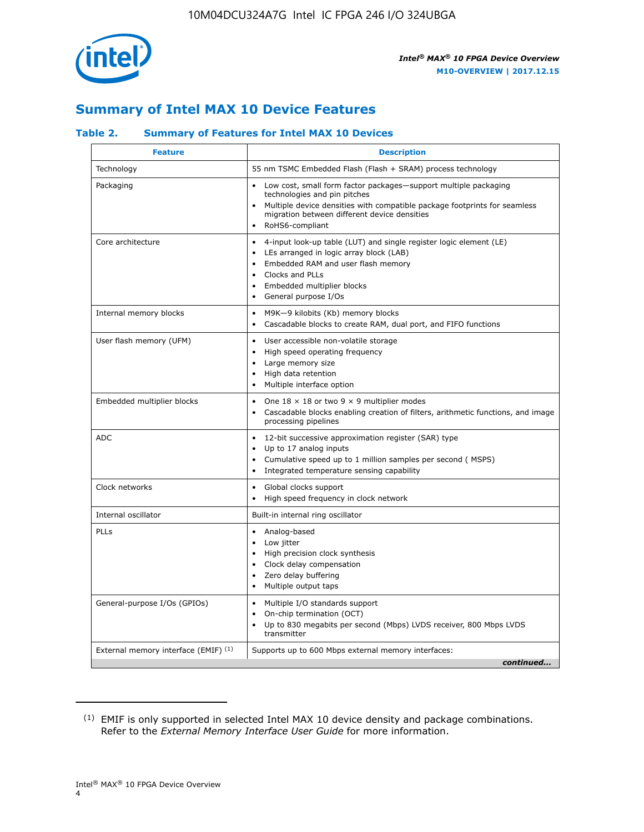

## **Summary of Intel MAX 10 Device Features**

#### **Table 2. Summary of Features for Intel MAX 10 Devices**

| <b>Feature</b>                       | <b>Description</b>                                                                                                                                                                                                                                                                            |
|--------------------------------------|-----------------------------------------------------------------------------------------------------------------------------------------------------------------------------------------------------------------------------------------------------------------------------------------------|
| Technology                           | 55 nm TSMC Embedded Flash (Flash + SRAM) process technology                                                                                                                                                                                                                                   |
| Packaging                            | Low cost, small form factor packages-support multiple packaging<br>technologies and pin pitches<br>Multiple device densities with compatible package footprints for seamless<br>migration between different device densities<br>RoHS6-compliant                                               |
| Core architecture                    | 4-input look-up table (LUT) and single register logic element (LE)<br>$\bullet$<br>LEs arranged in logic array block (LAB)<br>$\bullet$<br>Embedded RAM and user flash memory<br>$\bullet$<br>Clocks and PLLs<br>$\bullet$<br>Embedded multiplier blocks<br>General purpose I/Os<br>$\bullet$ |
| Internal memory blocks               | M9K-9 kilobits (Kb) memory blocks<br>$\bullet$<br>Cascadable blocks to create RAM, dual port, and FIFO functions<br>$\bullet$                                                                                                                                                                 |
| User flash memory (UFM)              | User accessible non-volatile storage<br>$\bullet$<br>High speed operating frequency<br>$\bullet$<br>Large memory size<br>High data retention<br>$\bullet$<br>Multiple interface option                                                                                                        |
| Embedded multiplier blocks           | One $18 \times 18$ or two 9 $\times$ 9 multiplier modes<br>$\bullet$<br>Cascadable blocks enabling creation of filters, arithmetic functions, and image<br>processing pipelines                                                                                                               |
| <b>ADC</b>                           | 12-bit successive approximation register (SAR) type<br>$\bullet$<br>Up to 17 analog inputs<br>$\bullet$<br>Cumulative speed up to 1 million samples per second (MSPS)<br>Integrated temperature sensing capability<br>$\bullet$                                                               |
| Clock networks                       | Global clocks support<br>$\bullet$<br>High speed frequency in clock network                                                                                                                                                                                                                   |
| Internal oscillator                  | Built-in internal ring oscillator                                                                                                                                                                                                                                                             |
| <b>PLLs</b>                          | Analog-based<br>$\bullet$<br>Low jitter<br>High precision clock synthesis<br>$\bullet$<br>Clock delay compensation<br>$\bullet$<br>Zero delay buffering<br>٠<br>Multiple output taps<br>$\bullet$                                                                                             |
| General-purpose I/Os (GPIOs)         | Multiple I/O standards support<br>$\bullet$<br>On-chip termination (OCT)<br>٠<br>Up to 830 megabits per second (Mbps) LVDS receiver, 800 Mbps LVDS<br>transmitter                                                                                                                             |
| External memory interface (EMIF) (1) | Supports up to 600 Mbps external memory interfaces:<br>continued                                                                                                                                                                                                                              |
|                                      |                                                                                                                                                                                                                                                                                               |

<sup>(1)</sup> EMIF is only supported in selected Intel MAX 10 device density and package combinations. Refer to the *External Memory Interface User Guide* for more information.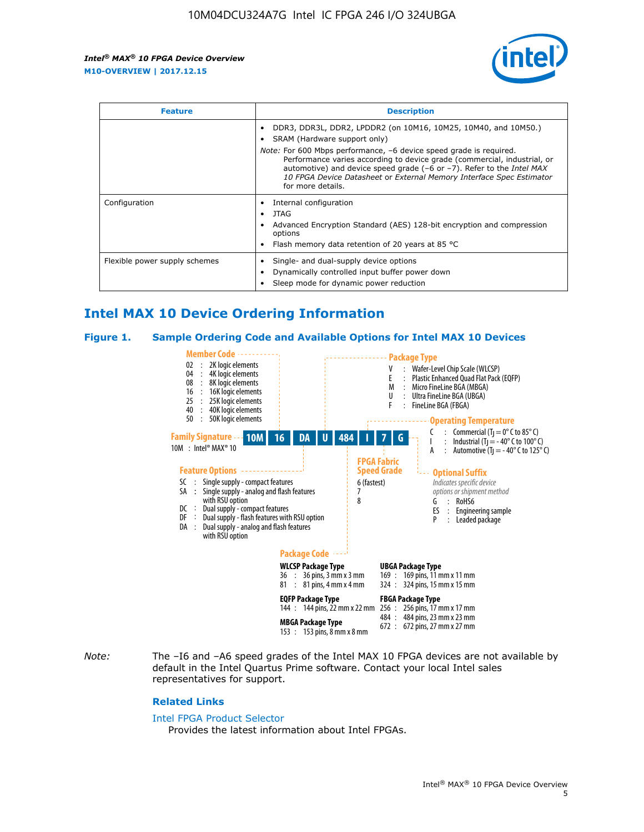

| <b>Feature</b>                | <b>Description</b>                                                                                                                                                                                                                                                                                                                                                                                                                               |  |  |  |
|-------------------------------|--------------------------------------------------------------------------------------------------------------------------------------------------------------------------------------------------------------------------------------------------------------------------------------------------------------------------------------------------------------------------------------------------------------------------------------------------|--|--|--|
|                               | DDR3, DDR3L, DDR2, LPDDR2 (on 10M16, 10M25, 10M40, and 10M50.)<br>SRAM (Hardware support only)<br><i>Note:</i> For 600 Mbps performance, -6 device speed grade is required.<br>Performance varies according to device grade (commercial, industrial, or<br>automotive) and device speed grade $(-6 \text{ or } -7)$ . Refer to the <i>Intel MAX</i><br>10 FPGA Device Datasheet or External Memory Interface Spec Estimator<br>for more details. |  |  |  |
| Configuration                 | Internal configuration<br>JTAG<br>٠<br>Advanced Encryption Standard (AES) 128-bit encryption and compression<br>options<br>Flash memory data retention of 20 years at 85 $^{\circ}$ C                                                                                                                                                                                                                                                            |  |  |  |
| Flexible power supply schemes | Single- and dual-supply device options<br>Dynamically controlled input buffer power down<br>Sleep mode for dynamic power reduction                                                                                                                                                                                                                                                                                                               |  |  |  |

## **Intel MAX 10 Device Ordering Information**

#### **Figure 1. Sample Ordering Code and Available Options for Intel MAX 10 Devices**



*Note:* The –I6 and –A6 speed grades of the Intel MAX 10 FPGA devices are not available by default in the Intel Quartus Prime software. Contact your local Intel sales representatives for support.

#### **Related Links**

#### [Intel FPGA Product Selector](http://www.altera.com/products/selector/psg-selector.html)

Provides the latest information about Intel FPGAs.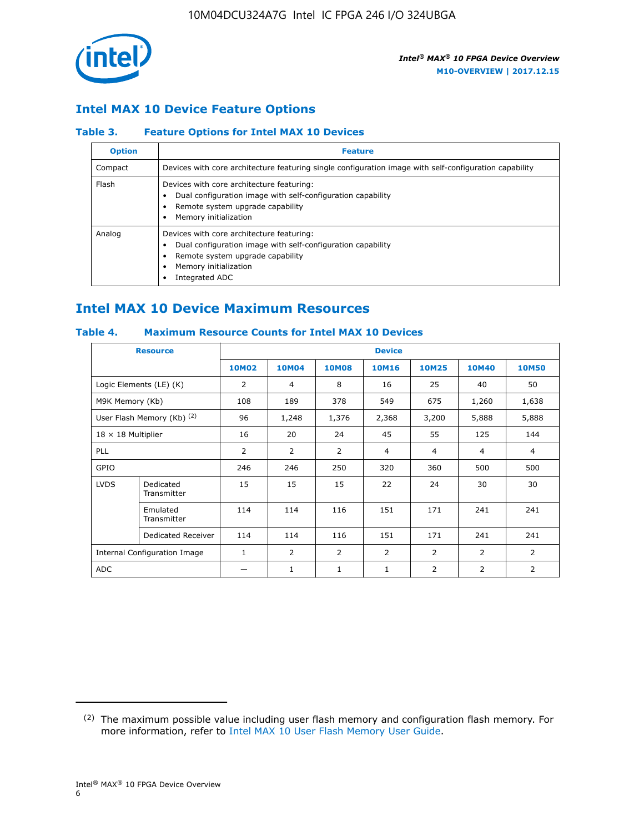

## **Intel MAX 10 Device Feature Options**

#### **Table 3. Feature Options for Intel MAX 10 Devices**

| <b>Option</b> | <b>Feature</b>                                                                                                                                                                          |
|---------------|-----------------------------------------------------------------------------------------------------------------------------------------------------------------------------------------|
| Compact       | Devices with core architecture featuring single configuration image with self-configuration capability                                                                                  |
| Flash         | Devices with core architecture featuring:<br>Dual configuration image with self-configuration capability<br>Remote system upgrade capability<br>Memory initialization                   |
| Analog        | Devices with core architecture featuring:<br>Dual configuration image with self-configuration capability<br>Remote system upgrade capability<br>Memory initialization<br>Integrated ADC |

## **Intel MAX 10 Device Maximum Resources**

#### **Table 4. Maximum Resource Counts for Intel MAX 10 Devices**

| <b>Resource</b>              |                            | <b>Device</b>  |              |              |                |                |              |                |
|------------------------------|----------------------------|----------------|--------------|--------------|----------------|----------------|--------------|----------------|
|                              |                            | <b>10M02</b>   | <b>10M04</b> | <b>10M08</b> | <b>10M16</b>   | <b>10M25</b>   | <b>10M40</b> | <b>10M50</b>   |
|                              | Logic Elements (LE) (K)    | $\overline{2}$ | 4            | 8            | 16             | 25             | 40           | 50             |
| M9K Memory (Kb)              |                            | 108            | 189          | 378          | 549            | 675            | 1,260        | 1,638          |
|                              | User Flash Memory (Kb) (2) | 96             | 1,248        | 1,376        | 2,368          | 3,200          | 5,888        | 5,888          |
| $18 \times 18$ Multiplier    |                            | 16             | 20           | 24           | 45             | 55             | 125          | 144            |
| <b>PLL</b>                   |                            | 2              | 2            | 2            | $\overline{4}$ | $\overline{4}$ | 4            | $\overline{4}$ |
| GPIO                         |                            | 246            | 246          | 250          | 320            | 360            | 500          | 500            |
| <b>LVDS</b>                  | Dedicated<br>Transmitter   | 15             | 15           | 15           | 22             | 24             | 30           | 30             |
|                              | Emulated<br>Transmitter    | 114            | 114          | 116          | 151            | 171            | 241          | 241            |
|                              | Dedicated Receiver         | 114            | 114          | 116          | 151            | 171            | 241          | 241            |
| Internal Configuration Image |                            | $\mathbf{1}$   | 2            | 2            | $\overline{2}$ | 2              | 2            | $\overline{2}$ |
| <b>ADC</b>                   |                            |                | 1            | 1            | $\mathbf{1}$   | 2              | 2            | 2              |

<sup>(2)</sup> The maximum possible value including user flash memory and configuration flash memory. For more information, refer to [Intel MAX 10 User Flash Memory User Guide](https://www.altera.com/documentation/vgo1395753117436.html#vgo1395811844282).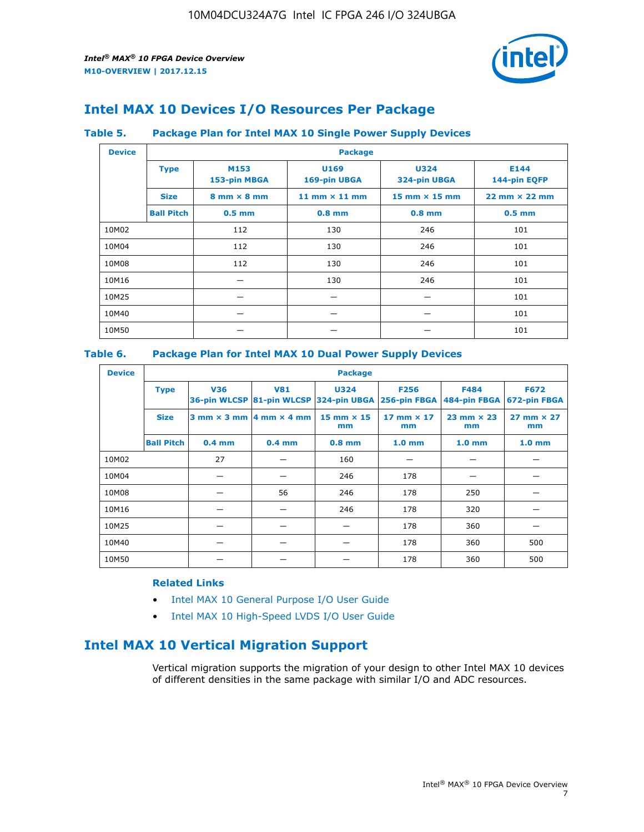

## **Intel MAX 10 Devices I/O Resources Per Package**

#### **Table 5. Package Plan for Intel MAX 10 Single Power Supply Devices**

| <b>Device</b> |                   | <b>Package</b>                     |                      |                             |                                      |  |  |  |  |
|---------------|-------------------|------------------------------------|----------------------|-----------------------------|--------------------------------------|--|--|--|--|
|               | <b>Type</b>       | M153<br>153-pin MBGA               | U169<br>169-pin UBGA | <b>U324</b><br>324-pin UBGA | E144<br>144-pin EQFP                 |  |  |  |  |
|               | <b>Size</b>       | $8 \text{ mm} \times 8 \text{ mm}$ | 11 mm $\times$ 11 mm | $15$ mm $\times$ 15 mm      | $22 \text{ mm} \times 22 \text{ mm}$ |  |  |  |  |
|               | <b>Ball Pitch</b> | $0.5$ mm                           | $0.8$ mm             | $0.8$ mm                    | $0.5$ mm                             |  |  |  |  |
| 10M02         |                   | 112                                | 130                  | 246                         | 101                                  |  |  |  |  |
| 10M04         |                   | 112                                | 130                  | 246                         | 101                                  |  |  |  |  |
| 10M08         |                   | 112                                | 130                  | 246                         | 101                                  |  |  |  |  |
| 10M16         |                   |                                    | 130                  | 246                         | 101                                  |  |  |  |  |
| 10M25         |                   |                                    |                      |                             | 101                                  |  |  |  |  |
| 10M40         |                   |                                    |                      |                             | 101                                  |  |  |  |  |
| 10M50         |                   |                                    |                      |                             | 101                                  |  |  |  |  |

#### **Table 6. Package Plan for Intel MAX 10 Dual Power Supply Devices**

| <b>Device</b> |                   | <b>Package</b> |                                                |                                                                    |                           |                           |                             |  |  |  |
|---------------|-------------------|----------------|------------------------------------------------|--------------------------------------------------------------------|---------------------------|---------------------------|-----------------------------|--|--|--|
|               | <b>Type</b>       | <b>V36</b>     | <b>V81</b>                                     | <b>U324</b><br>36-pin WLCSP 81-pin WLCSP 324-pin UBGA 256-pin FBGA | <b>F256</b>               | F484<br>484-pin FBGA      | <b>F672</b><br>672-pin FBGA |  |  |  |
|               | <b>Size</b>       |                | $3$ mm $\times$ 3 mm $ 4$ mm $\times$ 4 mm $ $ | 15 mm $\times$ 15<br>mm                                            | $17$ mm $\times$ 17<br>mm | $23$ mm $\times$ 23<br>mm | $27$ mm $\times$ 27<br>mm   |  |  |  |
|               | <b>Ball Pitch</b> | $0.4$ mm       | $0.4$ mm                                       | $0.8$ mm                                                           | 1.0 <sub>mm</sub>         | 1.0 <sub>mm</sub>         | 1.0 <sub>mm</sub>           |  |  |  |
| 10M02         |                   | 27             |                                                | 160                                                                |                           |                           |                             |  |  |  |
| 10M04         |                   |                |                                                | 246                                                                | 178                       |                           |                             |  |  |  |
| 10M08         |                   |                | 56                                             | 246                                                                | 178                       | 250                       |                             |  |  |  |
| 10M16         |                   |                |                                                | 246                                                                | 178                       | 320                       |                             |  |  |  |
| 10M25         |                   |                |                                                |                                                                    | 178                       | 360                       |                             |  |  |  |
| 10M40         |                   |                |                                                |                                                                    | 178                       | 360                       | 500                         |  |  |  |
| 10M50         |                   |                |                                                |                                                                    | 178                       | 360                       | 500                         |  |  |  |

#### **Related Links**

- [Intel MAX 10 General Purpose I/O User Guide](https://www.altera.com/documentation/sam1393999966669.html#sam1394000084476)
- [Intel MAX 10 High-Speed LVDS I/O User Guide](https://www.altera.com/documentation/sam1394433606063.html#sam1394433911642)

## **Intel MAX 10 Vertical Migration Support**

Vertical migration supports the migration of your design to other Intel MAX 10 devices of different densities in the same package with similar I/O and ADC resources.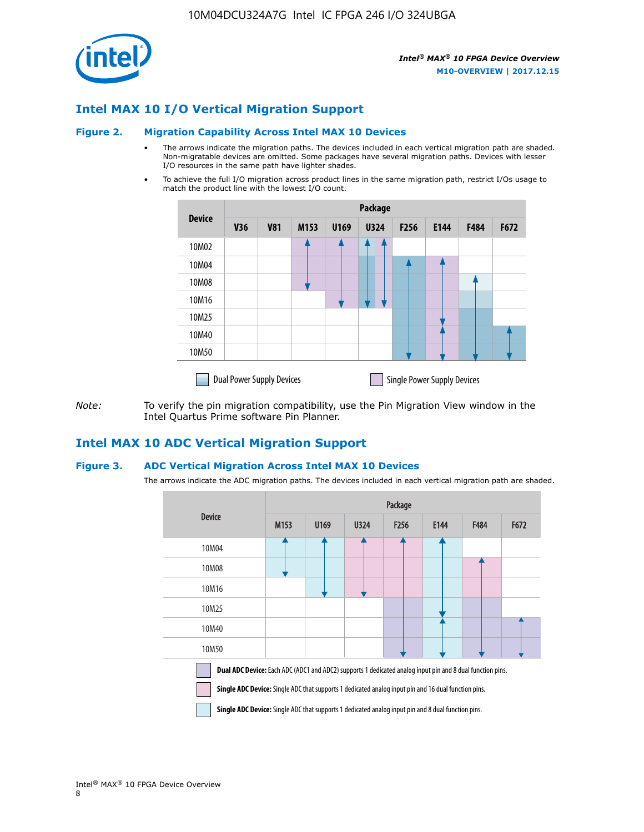

## **Intel MAX 10 I/O Vertical Migration Support**

#### **Figure 2. Migration Capability Across Intel MAX 10 Devices**

- The arrows indicate the migration paths. The devices included in each vertical migration path are shaded. Non-migratable devices are omitted. Some packages have several migration paths. Devices with lesser I/O resources in the same path have lighter shades.
- To achieve the full I/O migration across product lines in the same migration path, restrict I/Os usage to match the product line with the lowest I/O count.

|               | <b>Package</b>                   |            |      |      |             |                  |                                    |      |      |  |
|---------------|----------------------------------|------------|------|------|-------------|------------------|------------------------------------|------|------|--|
| <b>Device</b> | <b>V36</b>                       | <b>V81</b> | M153 | U169 | <b>U324</b> | F <sub>256</sub> | E144                               | F484 | F672 |  |
| 10M02         |                                  |            |      |      |             |                  |                                    |      |      |  |
| 10M04         |                                  |            |      |      |             |                  |                                    |      |      |  |
| 10M08         |                                  |            |      |      |             |                  |                                    |      |      |  |
| 10M16         |                                  |            |      |      |             |                  |                                    |      |      |  |
| 10M25         |                                  |            |      |      |             |                  |                                    |      |      |  |
| 10M40         |                                  |            |      |      |             |                  |                                    |      |      |  |
| 10M50         |                                  |            |      |      |             |                  |                                    |      |      |  |
|               | <b>Dual Power Supply Devices</b> |            |      |      |             |                  | <b>Single Power Supply Devices</b> |      |      |  |

*Note:* To verify the pin migration compatibility, use the Pin Migration View window in the Intel Quartus Prime software Pin Planner.

### **Intel MAX 10 ADC Vertical Migration Support**

#### **Figure 3. ADC Vertical Migration Across Intel MAX 10 Devices**

The arrows indicate the ADC migration paths. The devices included in each vertical migration path are shaded.

|                                                                                                                                                                                                                  | Package          |      |      |                  |      |      |      |  |  |
|------------------------------------------------------------------------------------------------------------------------------------------------------------------------------------------------------------------|------------------|------|------|------------------|------|------|------|--|--|
| <b>Device</b>                                                                                                                                                                                                    | M <sub>153</sub> | U169 | U324 | F <sub>256</sub> | E144 | F484 | F672 |  |  |
| 10M04                                                                                                                                                                                                            |                  |      |      |                  |      |      |      |  |  |
| 10M08                                                                                                                                                                                                            |                  |      |      |                  |      |      |      |  |  |
| 10M16                                                                                                                                                                                                            |                  |      |      |                  |      |      |      |  |  |
| 10M25                                                                                                                                                                                                            |                  |      |      |                  |      |      |      |  |  |
| 10M40                                                                                                                                                                                                            |                  |      |      |                  |      |      |      |  |  |
| 10M50                                                                                                                                                                                                            |                  |      |      |                  |      |      |      |  |  |
| Dual ADC Device: Each ADC (ADC1 and ADC2) supports 1 dedicated analog input pin and 8 dual function pins.<br>Single ADC Device: Single ADC that supports 1 dedicated analog input pin and 16 dual function pins. |                  |      |      |                  |      |      |      |  |  |

**Single ADC Device:** Single ADC that supports 1 dedicated analog input pin and 8 dual function pins.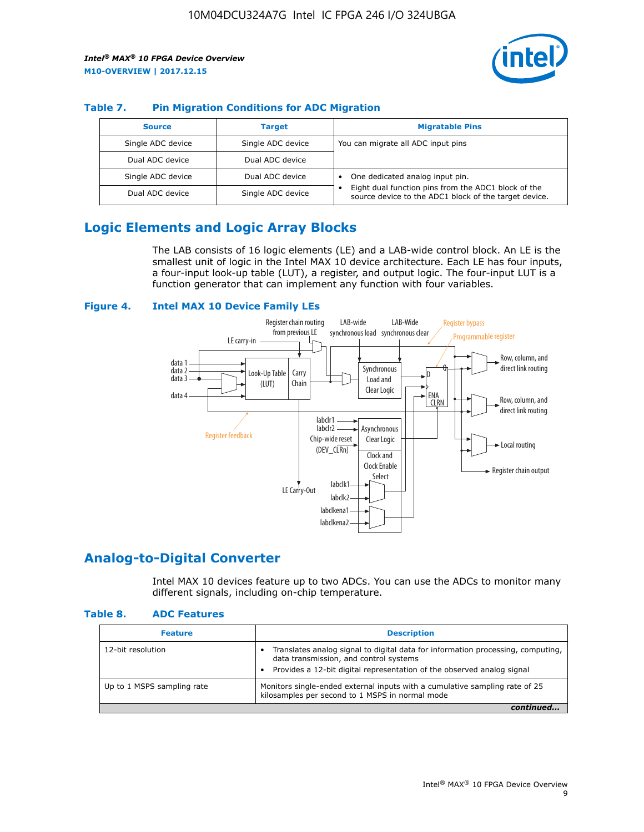

#### **Table 7. Pin Migration Conditions for ADC Migration**

| <b>Source</b>     | <b>Target</b>     | <b>Migratable Pins</b>                                                                                            |
|-------------------|-------------------|-------------------------------------------------------------------------------------------------------------------|
| Single ADC device | Single ADC device | You can migrate all ADC input pins                                                                                |
| Dual ADC device   | Dual ADC device   |                                                                                                                   |
| Single ADC device | Dual ADC device   | One dedicated analog input pin.                                                                                   |
| Dual ADC device   | Single ADC device | Eight dual function pins from the ADC1 block of the<br>٠<br>source device to the ADC1 block of the target device. |

## **Logic Elements and Logic Array Blocks**

The LAB consists of 16 logic elements (LE) and a LAB-wide control block. An LE is the smallest unit of logic in the Intel MAX 10 device architecture. Each LE has four inputs, a four-input look-up table (LUT), a register, and output logic. The four-input LUT is a function generator that can implement any function with four variables.

#### **Figure 4. Intel MAX 10 Device Family LEs**



### **Analog-to-Digital Converter**

Intel MAX 10 devices feature up to two ADCs. You can use the ADCs to monitor many different signals, including on-chip temperature.

#### **Table 8. ADC Features**

| <b>Feature</b>             | <b>Description</b>                                                                                                                                                                                  |
|----------------------------|-----------------------------------------------------------------------------------------------------------------------------------------------------------------------------------------------------|
| 12-bit resolution          | Translates analog signal to digital data for information processing, computing,<br>data transmission, and control systems<br>Provides a 12-bit digital representation of the observed analog signal |
| Up to 1 MSPS sampling rate | Monitors single-ended external inputs with a cumulative sampling rate of 25<br>kilosamples per second to 1 MSPS in normal mode                                                                      |
|                            |                                                                                                                                                                                                     |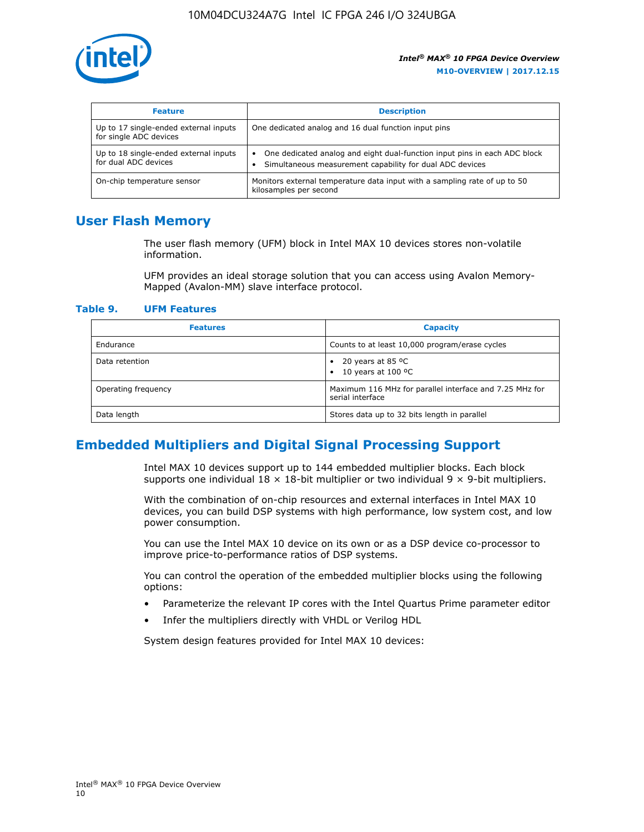

| <b>Feature</b>                                                  | <b>Description</b>                                                                                                                         |
|-----------------------------------------------------------------|--------------------------------------------------------------------------------------------------------------------------------------------|
| Up to 17 single-ended external inputs<br>for single ADC devices | One dedicated analog and 16 dual function input pins                                                                                       |
| Up to 18 single-ended external inputs<br>for dual ADC devices   | One dedicated analog and eight dual-function input pins in each ADC block<br>٠<br>Simultaneous measurement capability for dual ADC devices |
| On-chip temperature sensor                                      | Monitors external temperature data input with a sampling rate of up to 50<br>kilosamples per second                                        |

## **User Flash Memory**

The user flash memory (UFM) block in Intel MAX 10 devices stores non-volatile information.

UFM provides an ideal storage solution that you can access using Avalon Memory-Mapped (Avalon-MM) slave interface protocol.

#### **Table 9. UFM Features**

| <b>Features</b>     | <b>Capacity</b>                                                             |
|---------------------|-----------------------------------------------------------------------------|
| Endurance           | Counts to at least 10,000 program/erase cycles                              |
| Data retention      | 20 years at 85 $^{\circ}$ C<br>٠<br>10 years at 100 °C<br>$\bullet$         |
| Operating frequency | Maximum 116 MHz for parallel interface and 7.25 MHz for<br>serial interface |
| Data length         | Stores data up to 32 bits length in parallel                                |

## **Embedded Multipliers and Digital Signal Processing Support**

Intel MAX 10 devices support up to 144 embedded multiplier blocks. Each block supports one individual  $18 \times 18$ -bit multiplier or two individual  $9 \times 9$ -bit multipliers.

With the combination of on-chip resources and external interfaces in Intel MAX 10 devices, you can build DSP systems with high performance, low system cost, and low power consumption.

You can use the Intel MAX 10 device on its own or as a DSP device co-processor to improve price-to-performance ratios of DSP systems.

You can control the operation of the embedded multiplier blocks using the following options:

- Parameterize the relevant IP cores with the Intel Quartus Prime parameter editor
- Infer the multipliers directly with VHDL or Verilog HDL

System design features provided for Intel MAX 10 devices: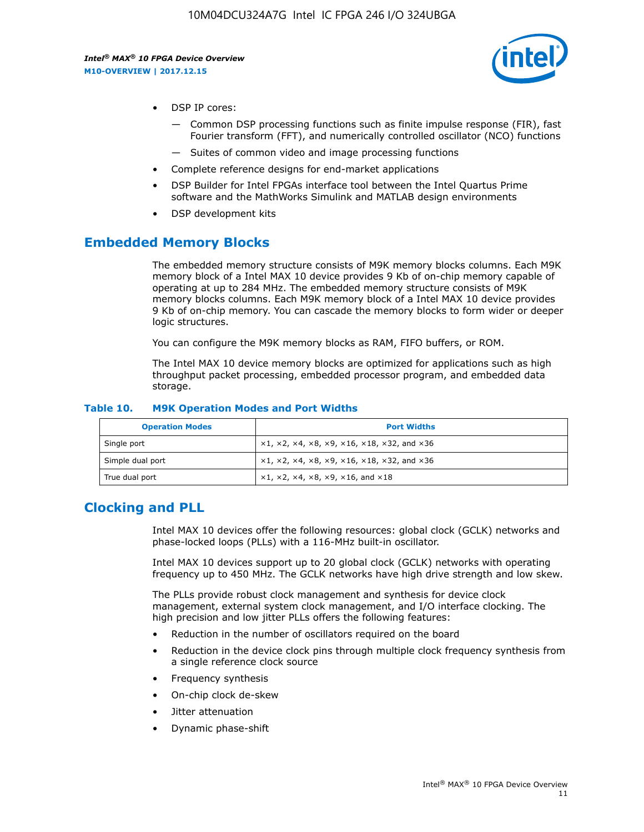

- DSP IP cores:
	- Common DSP processing functions such as finite impulse response (FIR), fast Fourier transform (FFT), and numerically controlled oscillator (NCO) functions
	- Suites of common video and image processing functions
- Complete reference designs for end-market applications
- DSP Builder for Intel FPGAs interface tool between the Intel Quartus Prime software and the MathWorks Simulink and MATLAB design environments
- DSP development kits

## **Embedded Memory Blocks**

The embedded memory structure consists of M9K memory blocks columns. Each M9K memory block of a Intel MAX 10 device provides 9 Kb of on-chip memory capable of operating at up to 284 MHz. The embedded memory structure consists of M9K memory blocks columns. Each M9K memory block of a Intel MAX 10 device provides 9 Kb of on-chip memory. You can cascade the memory blocks to form wider or deeper logic structures.

You can configure the M9K memory blocks as RAM, FIFO buffers, or ROM.

The Intel MAX 10 device memory blocks are optimized for applications such as high throughput packet processing, embedded processor program, and embedded data storage.

| <b>Operation Modes</b> | <b>Port Widths</b>                                                            |
|------------------------|-------------------------------------------------------------------------------|
| Single port            | $x1, x2, x4, x8, x9, x16, x18, x32, and x36$                                  |
| Simple dual port       | $x1, x2, x4, x8, x9, x16, x18, x32, and x36$                                  |
| True dual port         | $\times1, \times2, \times4, \times8, \times9, \times16, \text{and } \times18$ |

#### **Table 10. M9K Operation Modes and Port Widths**

## **Clocking and PLL**

Intel MAX 10 devices offer the following resources: global clock (GCLK) networks and phase-locked loops (PLLs) with a 116-MHz built-in oscillator.

Intel MAX 10 devices support up to 20 global clock (GCLK) networks with operating frequency up to 450 MHz. The GCLK networks have high drive strength and low skew.

The PLLs provide robust clock management and synthesis for device clock management, external system clock management, and I/O interface clocking. The high precision and low jitter PLLs offers the following features:

- Reduction in the number of oscillators required on the board
- Reduction in the device clock pins through multiple clock frequency synthesis from a single reference clock source
- Frequency synthesis
- On-chip clock de-skew
- Jitter attenuation
- Dynamic phase-shift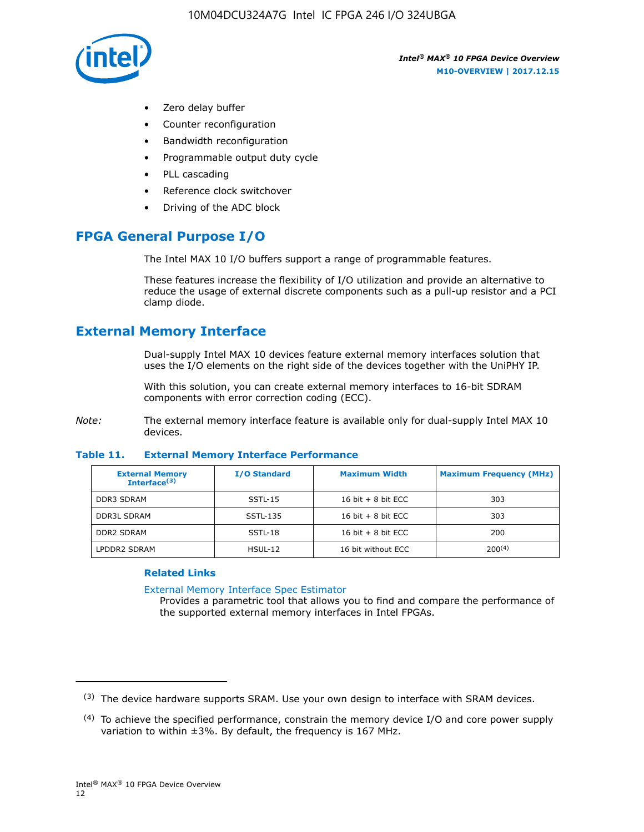

- Zero delay buffer
- Counter reconfiguration
- Bandwidth reconfiguration
- Programmable output duty cycle
- PLL cascading
- Reference clock switchover
- Driving of the ADC block

## **FPGA General Purpose I/O**

The Intel MAX 10 I/O buffers support a range of programmable features.

These features increase the flexibility of I/O utilization and provide an alternative to reduce the usage of external discrete components such as a pull-up resistor and a PCI clamp diode.

## **External Memory Interface**

Dual-supply Intel MAX 10 devices feature external memory interfaces solution that uses the I/O elements on the right side of the devices together with the UniPHY IP.

With this solution, you can create external memory interfaces to 16-bit SDRAM components with error correction coding (ECC).

*Note:* The external memory interface feature is available only for dual-supply Intel MAX 10 devices.

#### **Table 11. External Memory Interface Performance**

| <b>External Memory</b><br>Interface $(3)$ | <b>I/O Standard</b> | <b>Maximum Width</b> | <b>Maximum Frequency (MHz)</b> |
|-------------------------------------------|---------------------|----------------------|--------------------------------|
| <b>DDR3 SDRAM</b>                         | $SSTL-15$           | 16 bit $+8$ bit ECC  | 303                            |
| <b>DDR3L SDRAM</b>                        | SSTL-135            | 16 bit $+8$ bit ECC  | 303                            |
| <b>DDR2 SDRAM</b>                         | SSTL-18             | 16 bit $+8$ bit ECC  | 200                            |
| LPDDR2 SDRAM                              | HSUL-12             | 16 bit without ECC   | 200(4)                         |

#### **Related Links**

[External Memory Interface Spec Estimator](http://www.altera.com/technology/memory/estimator/mem-emif-index.html)

Provides a parametric tool that allows you to find and compare the performance of the supported external memory interfaces in Intel FPGAs.

 $(3)$  The device hardware supports SRAM. Use your own design to interface with SRAM devices.

 $(4)$  To achieve the specified performance, constrain the memory device I/O and core power supply variation to within ±3%. By default, the frequency is 167 MHz.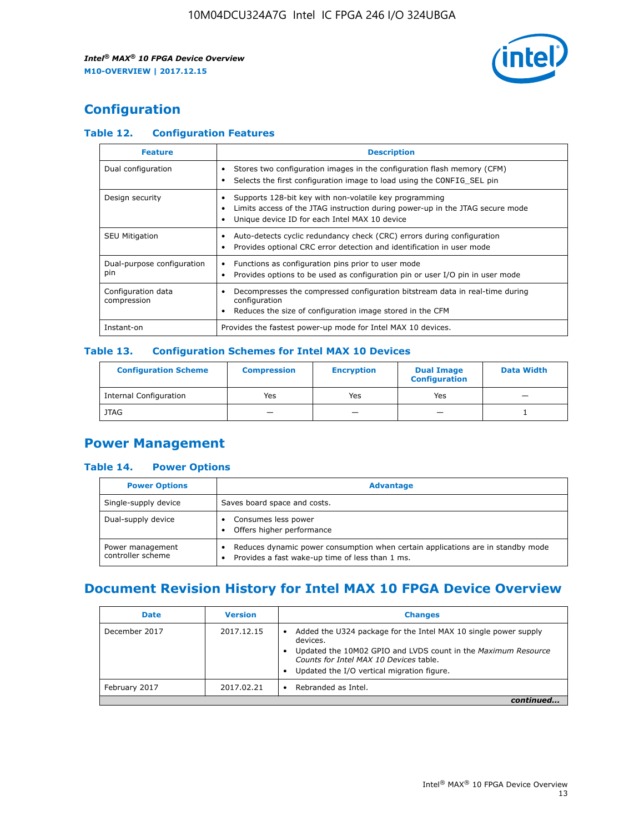

## **Configuration**

#### **Table 12. Configuration Features**

| <b>Feature</b>                    | <b>Description</b>                                                                                                                                                                       |
|-----------------------------------|------------------------------------------------------------------------------------------------------------------------------------------------------------------------------------------|
| Dual configuration                | Stores two configuration images in the configuration flash memory (CFM)<br>Selects the first configuration image to load using the CONFIG SEL pin                                        |
| Design security                   | Supports 128-bit key with non-volatile key programming<br>Limits access of the JTAG instruction during power-up in the JTAG secure mode<br>Unique device ID for each Intel MAX 10 device |
| <b>SEU Mitigation</b>             | Auto-detects cyclic redundancy check (CRC) errors during configuration<br>Provides optional CRC error detection and identification in user mode                                          |
| Dual-purpose configuration<br>pin | Functions as configuration pins prior to user mode<br>Provides options to be used as configuration pin or user I/O pin in user mode                                                      |
| Configuration data<br>compression | Decompresses the compressed configuration bitstream data in real-time during<br>configuration<br>Reduces the size of configuration image stored in the CFM                               |
| Instant-on                        | Provides the fastest power-up mode for Intel MAX 10 devices.                                                                                                                             |

#### **Table 13. Configuration Schemes for Intel MAX 10 Devices**

| <b>Configuration Scheme</b>   | <b>Compression</b>       | <b>Encryption</b> | <b>Dual Image</b><br><b>Configuration</b> | <b>Data Width</b> |
|-------------------------------|--------------------------|-------------------|-------------------------------------------|-------------------|
| <b>Internal Configuration</b> | Yes                      | Yes               | Yes                                       |                   |
| <b>JTAG</b>                   | $\overline{\phantom{a}}$ |                   | -                                         |                   |

## **Power Management**

#### **Table 14. Power Options**

| <b>Power Options</b>                  | <b>Advantage</b>                                                                                                                        |  |
|---------------------------------------|-----------------------------------------------------------------------------------------------------------------------------------------|--|
| Single-supply device                  | Saves board space and costs.                                                                                                            |  |
| Dual-supply device                    | Consumes less power<br>Offers higher performance<br>$\bullet$                                                                           |  |
| Power management<br>controller scheme | Reduces dynamic power consumption when certain applications are in standby mode<br>Provides a fast wake-up time of less than 1 ms.<br>٠ |  |

## **Document Revision History for Intel MAX 10 FPGA Device Overview**

| <b>Date</b>   | <b>Version</b> | <b>Changes</b>                                                                                                                                                                                                                       |
|---------------|----------------|--------------------------------------------------------------------------------------------------------------------------------------------------------------------------------------------------------------------------------------|
| December 2017 | 2017.12.15     | Added the U324 package for the Intel MAX 10 single power supply<br>devices.<br>Updated the 10M02 GPIO and LVDS count in the Maximum Resource<br>Counts for Intel MAX 10 Devices table.<br>Updated the I/O vertical migration figure. |
| February 2017 | 2017.02.21     | Rebranded as Intel.                                                                                                                                                                                                                  |
|               |                |                                                                                                                                                                                                                                      |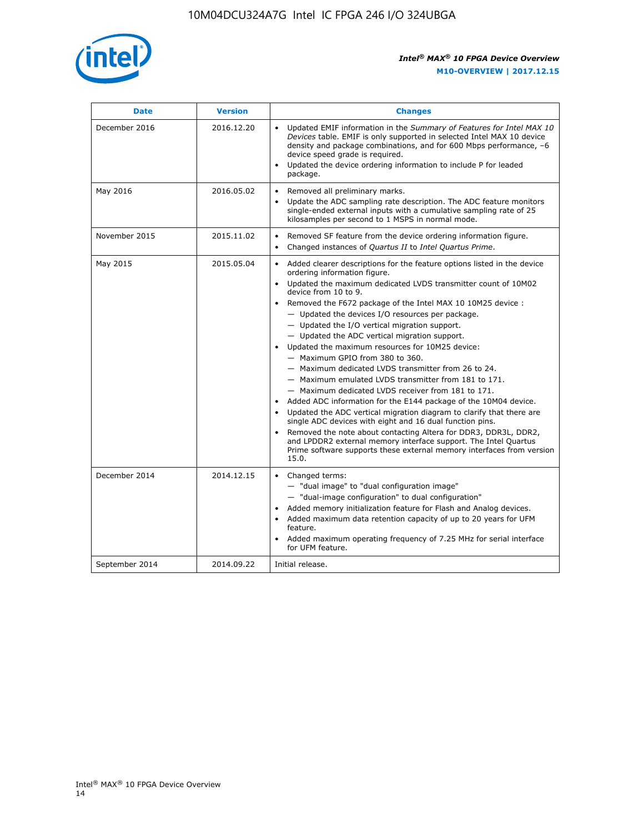

| <b>Date</b>    | <b>Version</b> | <b>Changes</b>                                                                                                                                                                                                                                                                                                                                                                                                                                                                                                                                                                                                                                                                                                                                                                                                                                                                                                                                                                                                                                                                                                  |
|----------------|----------------|-----------------------------------------------------------------------------------------------------------------------------------------------------------------------------------------------------------------------------------------------------------------------------------------------------------------------------------------------------------------------------------------------------------------------------------------------------------------------------------------------------------------------------------------------------------------------------------------------------------------------------------------------------------------------------------------------------------------------------------------------------------------------------------------------------------------------------------------------------------------------------------------------------------------------------------------------------------------------------------------------------------------------------------------------------------------------------------------------------------------|
| December 2016  | 2016.12.20     | • Updated EMIF information in the Summary of Features for Intel MAX 10<br>Devices table. EMIF is only supported in selected Intel MAX 10 device<br>density and package combinations, and for 600 Mbps performance, -6<br>device speed grade is required.<br>Updated the device ordering information to include P for leaded<br>package.                                                                                                                                                                                                                                                                                                                                                                                                                                                                                                                                                                                                                                                                                                                                                                         |
| May 2016       | 2016.05.02     | Removed all preliminary marks.<br>Update the ADC sampling rate description. The ADC feature monitors<br>single-ended external inputs with a cumulative sampling rate of 25<br>kilosamples per second to 1 MSPS in normal mode.                                                                                                                                                                                                                                                                                                                                                                                                                                                                                                                                                                                                                                                                                                                                                                                                                                                                                  |
| November 2015  | 2015.11.02     | Removed SF feature from the device ordering information figure.<br>$\bullet$<br>Changed instances of Quartus II to Intel Quartus Prime.<br>$\bullet$                                                                                                                                                                                                                                                                                                                                                                                                                                                                                                                                                                                                                                                                                                                                                                                                                                                                                                                                                            |
| May 2015       | 2015.05.04     | Added clearer descriptions for the feature options listed in the device<br>ordering information figure.<br>Updated the maximum dedicated LVDS transmitter count of 10M02<br>device from 10 to 9.<br>Removed the F672 package of the Intel MAX 10 10M25 device :<br>- Updated the devices I/O resources per package.<br>- Updated the I/O vertical migration support.<br>- Updated the ADC vertical migration support.<br>Updated the maximum resources for 10M25 device:<br>- Maximum GPIO from 380 to 360.<br>- Maximum dedicated LVDS transmitter from 26 to 24.<br>- Maximum emulated LVDS transmitter from 181 to 171.<br>- Maximum dedicated LVDS receiver from 181 to 171.<br>Added ADC information for the E144 package of the 10M04 device.<br>Updated the ADC vertical migration diagram to clarify that there are<br>single ADC devices with eight and 16 dual function pins.<br>Removed the note about contacting Altera for DDR3, DDR3L, DDR2,<br>and LPDDR2 external memory interface support. The Intel Quartus<br>Prime software supports these external memory interfaces from version<br>15.0. |
| December 2014  | 2014.12.15     | Changed terms:<br>- "dual image" to "dual configuration image"<br>- "dual-image configuration" to dual configuration"<br>Added memory initialization feature for Flash and Analog devices.<br>Added maximum data retention capacity of up to 20 years for UFM<br>feature.<br>Added maximum operating frequency of 7.25 MHz for serial interface<br>for UFM feature.                                                                                                                                                                                                                                                                                                                                                                                                                                                                                                                                                                                                                                                                                                                                             |
| September 2014 | 2014.09.22     | Initial release.                                                                                                                                                                                                                                                                                                                                                                                                                                                                                                                                                                                                                                                                                                                                                                                                                                                                                                                                                                                                                                                                                                |